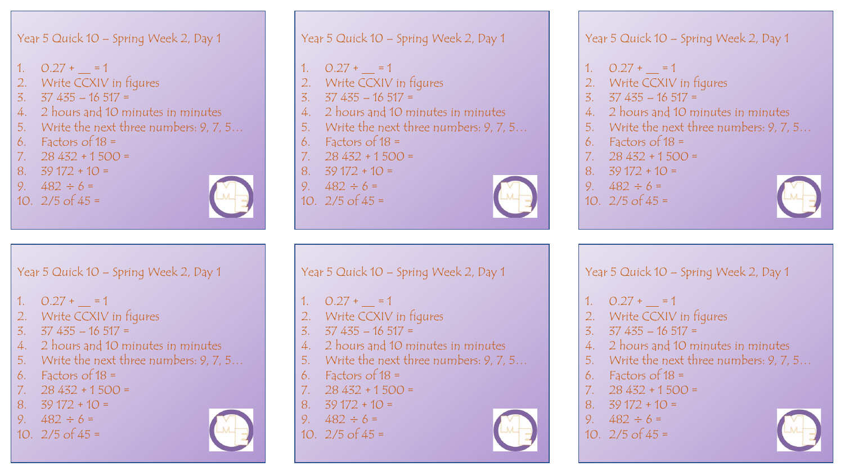- 1.  $0.27 + = 1$
- 2. Write CCXIV in figures
- 3. 37 435 16 517 =
- 4. 2 hours and 10 minutes in minutes
- 5. Write the next three numbers: 9, 7, 5…
- 6. Factors of  $18 =$
- 7.  $28\,432 + 1\,500 =$
- 8.  $39\frac{172}{10}$  =
- 9.  $482 \div 6 =$
- 10.  $2/5$  of  $45 =$



- Year 5 Quick 10 Spring Week 2, Day 1 1.  $0.27 + = 1$ Write CCXIV in figures 3. 37 435 – 16 517 = 4. 2 hours and 10 minutes in minutes
- 5. Write the next three numbers: 9, 7, 5…
- 6. Factors of  $18 =$
- $7. \quad 28\,432 + 1\,500 =$
- 
- 8.  $39\frac{172}{10}$  =
- 9.  $482 \div 6 =$
- 10.  $2/5$  of  $45 =$

Year 5 Quick 10 – Spring Week 2, Day 1

- $0.27 + = 1$
- Write CCXIV in figures
- 4. 2 hours and 10 minutes in minutes
- 5. Write the next three numbers: 9, 7, 5…
- 
- 7.  $28\,432 + 1\,500 =$
- 8.  $39\frac{172}{10}$  =
- 
- 



Year 5 Quick 10 – Spring Week 2, Day 1

- 1.  $0.27 + = 1$
- 2. Write CCXIV in figures
- 3.  $37\,435 16\,517 =$
- 4. 2 hours and 10 minutes in minutes
- 5. Write the next three numbers: 9, 7, 5…
- 6. Factors of  $18 =$
- $7. \quad 28\,432 + 1\,500 =$
- 8.  $39\frac{172}{10}$  + 10 =
- 9.  $482 \div 6 =$
- 10.  $2/5$  of  $45 =$

- 1.  $0.27 + = 1$
- Write CCXIV in figures
- 3. 37 435 16 517 =
- 4. 2 hours and 10 minutes in minutes
- 5. Write the next three numbers: 9, 7, 5…
- Factors of  $18 =$
- 7.  $28\,432 + 1\,500 =$
- 8.  $39\frac{172}{10}$  =
- 9.  $482 \div 6 =$
- 10.  $2/5$  of  $45 =$



- - - 3. 37 435 16 517 =
	- -
		- 6. Factors of  $18 =$
		-
		-
		- 9.  $482 \div 6 =$
		- 10.  $2/5$  of  $45 =$



- Year 5 Quick 10 Spring Week 2, Day 1
- $0.27 + = 1$
- 2. Write CCXIV in figures
- 3. 37 435 16 517 =
- 4. 2 hours and 10 minutes in minutes
- 5. Write the next three numbers: 9, 7, 5…
- Factors of  $18 =$
- 7.  $28\,432 + 1\,500 =$
- 8.  $39\frac{172}{10}$  =
- 9.  $482 \div 6 =$
- 10.  $2/5$  of  $45 =$

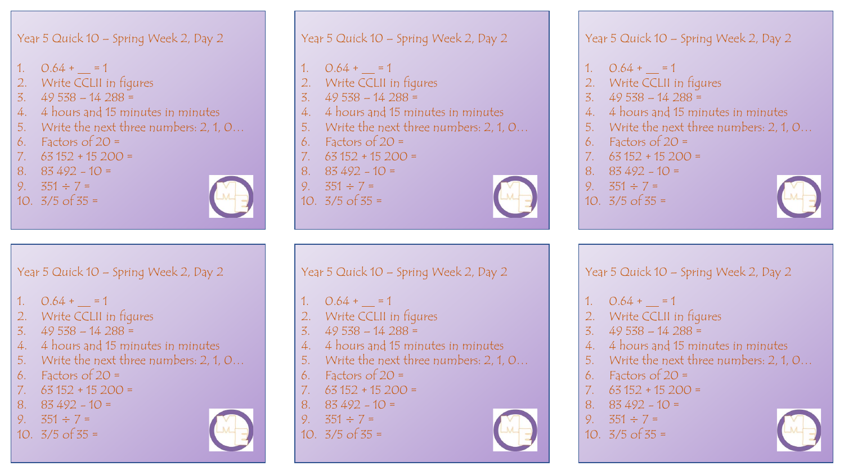- 1.  $0.64 + = 1$
- 2. Write CCLII in figures
- 3. 49 538 14 288 =
- 4. 4 hours and 15 minutes in minutes
- 5. Write the next three numbers: 2, 1, 0…
- 6. Factors of  $20 =$
- 7.  $63152 + 15200 =$
- 8.  $83,492 10 =$
- 9.  $351 \div 7 =$
- 10.  $3/5$  of  $35 =$



- Year 5 Quick 10 Spring Week 2, Day 2
- 1.  $0.64 + = 1$
- Write CCLII in figures
- 3. 49 538 14 288 =
- 4. 4 hours and 15 minutes in minutes
- 5. Write the next three numbers: 2, 1, 0…
- 6. Factors of  $20 =$
- 7.  $63152 + 15200 =$
- 8.  $83,492 10 =$
- 9.  $351 \div 7 =$
- 10.  $3/5$  of  $35 =$

Year 5 Quick 10 – Spring Week 2, Day 2

- $0.64 + = 1$
- Write CCLII in figures
- 3. 49 538 14 288 =
- 4. 4 hours and 15 minutes in minutes
- 5. Write the next three numbers: 2, 1, 0…
- 6. Factors of  $20 =$
- 7.  $63152 + 15200 =$
- 8.  $83,492 10 =$
- 9.  $351 \div 7 =$
- 10.  $3/5$  of  $35 =$



Year 5 Quick 10 – Spring Week 2, Day 2

- 1.  $0.64 + = 1$
- 2. Write CCLII in figures
- 3. 49 538 14 288 =
- 4. 4 hours and 15 minutes in minutes
- 5. Write the next three numbers: 2, 1, 0…
- 6. Factors of  $20 =$
- 7.  $63152 + 15200 =$
- 8.  $83,492 10 =$
- 9.  $351 \div 7 =$
- 10.  $3/5$  of  $35 =$

Year 5 Quick 10 – Spring Week 2, Day 2

- 1.  $0.64 + = 1$
- Write CCLII in figures
- 3. 49 538 14 288 =
- 4. 4 hours and 15 minutes in minutes
- 5. Write the next three numbers: 2, 1, 0…
- Factors of  $20 =$
- 7.  $63152 + 15200 =$
- 8.  $83,492 10 =$
- 9.  $351 \div 7 =$
- 10.  $3/5$  of  $35 =$



- 1.  $0.64 + = 1$
- 2. Write CCLII in figures
- 3. 49 538 14 288 =
- 4. 4 hours and 15 minutes in minutes
- 5. Write the next three numbers: 2, 1, 0…
- Factors of  $20 =$
- 7.  $63152 + 15200 =$
- 8.  $83,492 10 =$
- 9.  $351 \div 7 =$
- 10.  $3/5$  of  $35 =$





- 
- 
- 
- 
- 
-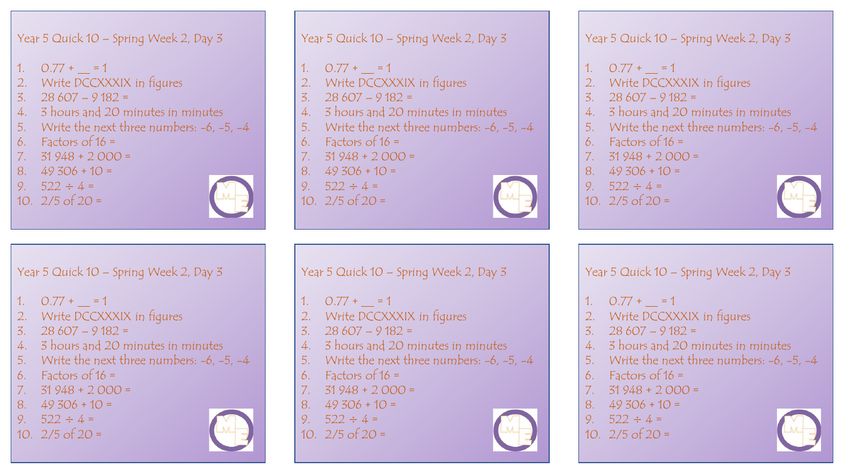- 1.  $0.77 + = 1$
- 2. Write DCCXXXIX in figures
- 3.  $28607 9182 =$
- 4. 3 hours and 20 minutes in minutes
- 5. Write the next three numbers: -6, -5, -4
- 6. Factors of  $16 =$
- 7.  $31\,948 + 2\,000 =$
- 8.  $49\,306 + 10 =$
- 9.  $522 \div 4 =$
- 10.  $2/5$  of  $20 =$



- Year 5 Quick 10 Spring Week 2, Day 3 1.  $0.77 + = 1$ Write DCCXXXIX in figures 3.  $28607 - 9182 =$ 4. 3 hours and 20 minutes in minutes 5. Write the next three numbers: -6, -5, -4 6. Factors of  $16 =$
- 7.  $31948 + 2000 =$
- 8.  $49\,306 + 10 =$
- 9.  $522 \div 4 =$
- 10.  $2/5$  of  $20 =$

Year 5 Quick 10 – Spring Week 2, Day 3

- 1.  $0.77 + = 1$
- Write DCCXXXIX in figures
- 3.  $28607 9182 =$
- 4. 3 hours and 20 minutes in minutes
- 5. Write the next three numbers: -6, -5, -4
- 6. Factors of  $16 =$
- 7.  $31948 + 2000 =$
- 8.  $49\,306 + 10 =$
- 9.  $522 \div 4 =$
- 10.  $2/5$  of  $20 =$



# Year 5 Quick 10 – Spring Week 2, Day 3

- 1.  $0.77 + = 1$
- 2. Write DCCXXXIX in figures
- 3.  $28607 9182 =$
- 4. 3 hours and 20 minutes in minutes
- 5. Write the next three numbers: -6, -5, -4
- 6. Factors of  $16 =$
- 7.  $31948 + 2000 =$
- 8.  $49\,306 + 10 =$
- 9.  $522 \div 4 =$
- 10.  $2/5$  of  $20 =$

Year 5 Quick 10 – Spring Week 2, Day 3

- 1.  $0.77 + = 1$
- Write DCCXXXIX in figures
- 3.  $28607 9182 =$
- 4. 3 hours and 20 minutes in minutes
- 5. Write the next three numbers: -6, -5, -4
- Factors of  $16 =$
- 7.  $31948 + 2000 =$
- 8.  $49\,306 + 10 =$
- 9.  $522 \div 4 =$
- 10.  $2/5$  of  $20 =$



- 1.  $0.77 + = 1$
- 2. Write DCCXXXIX in figures
- 3.  $28607 9182 =$
- 4. 3 hours and 20 minutes in minutes
- 5. Write the next three numbers: -6, -5, -4
- Factors of  $16 =$
- 7.  $31948 + 2000 =$
- 8.  $49\,306 + 10 =$
- 9.  $522 \div 4 =$
- 10.  $2/5$  of  $20 =$

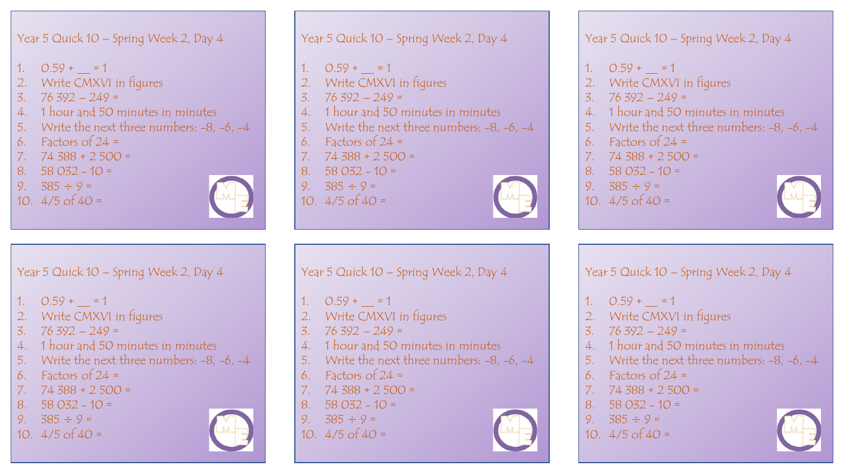- 1.  $0.59 + = 1$
- Write CMXVI in figures
- 3. 76 392 249 =
- 4. 1 hour and 50 minutes in minutes

Year 5 Quick 10 – Spring Week 2, Day 4

4. 1 hour and 50 minutes in minutes

5. Write the next three numbers: -8, -6, -4

- 5. Write the next three numbers: -8, -6, -4
- 6. Factors of  $24 =$
- 7.  $74\,388 + 2\,500 =$
- 8.  $58.032 10 =$
- 9.  $385 \div 9 =$
- 10.  $4/5$  of  $40 =$

1.  $0.59 + = 1$ 

 $3. \quad 76\,392 - 249 =$ 

Factors of  $24 =$ 7.  $74\,388 + 2\,500 =$ 8.  $58.032 - 10 =$ 9.  $385 \div 9 =$ 10.  $4/5$  of  $40 =$ 

2. Write CMXVI in figures



- Year 5 Quick 10 Spring Week 2, Day 4 1.  $0.59 + = 1$ Write CMXVI in figures 3.  $76\,392 - 249 =$ 4. 1 hour and 50 minutes in minutes 5. Write the next three numbers:  $-8$ ,  $-6$ ,  $-4$
- 6. Factors of  $24 =$
- 7.  $74\,388 + 2\,500 =$
- 8.  $58032 10 =$
- 9.  $385 \div 9 =$
- 10.  $4/5$  of  $40 =$

Year 5 Quick 10 – Spring Week 2, Day 4

- $0.59 + = 1$
- 2. Write CMXVI in figures
- 4. 1 hour and 50 minutes in minutes
- 5. Write the next three numbers:  $-8$ ,  $-6$ ,  $-4$
- 
- 7.  $74\,388 + 2\,500 =$
- 
- 
- 



Year 5 Quick 10 – Spring Week 2, Day 4

- 1.  $0.59 + = 1$
- 2. Write CMXVI in figures
- 3.  $76\,392 249 =$
- 4. 1 hour and 50 minutes in minutes
- 5. Write the next three numbers: -8, -6, -4
- 6. Factors of  $24 =$
- 7.  $74\,388 + 2\,500 =$
- 8.  $58.032 10 =$
- 9.  $385 \div 9 =$
- 10.  $4/5$  of  $40 =$

Year 5 Quick 10 – Spring Week 2, Day 4

- 1.  $0.59 + = 1$
- Write CMXVI in figures
- $3. \quad 76\,392 249 =$
- 4. 1 hour and 50 minutes in minutes
- 5. Write the next three numbers:  $-8$ ,  $-6$ ,  $-4$
- Factors of  $24 =$
- 7.  $74\,388 + 2\,500 =$
- 8.  $58.032 10 =$
- 9.  $385 \div 9 =$
- 10.  $4/5$  of  $40 =$



3.  $76\,392 - 249 =$ 

- 
- 
- 
- 
- 6. Factors of 24 =
- 
- 8.  $58.032 10 =$
- 9.  $385 \div 9 =$
- 10.  $4/5$  of  $40 =$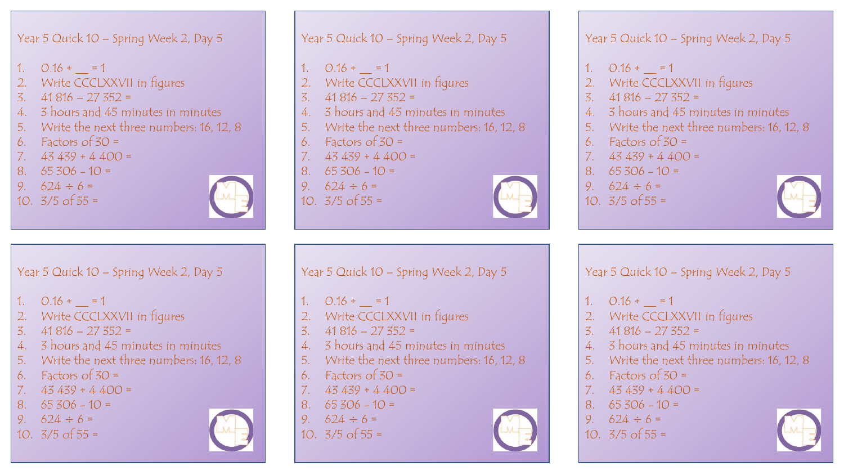- 1.  $0.16 + = 1$
- 2. Write CCCLXXVII in figures
- 3. 41 816 27 352 =
- 4. 3 hours and 45 minutes in minutes
- 5. Write the next three numbers: 16, 12, 8
- 6. Factors of  $30 =$
- 7.  $43439 + 4400 =$
- 8.  $65\,306 10 =$
- 9.  $624 \div 6 =$
- 10.  $3/5$  of  $55 =$



- Year 5 Quick 10 Spring Week 2, Day 5 1.  $0.16 + = 1$ Write CCCLXXVII in figures 3. 41 816 – 27 352 = 4. 3 hours and 45 minutes in minutes 5. Write the next three numbers: 16, 12, 8 6. Factors of  $30 =$
- 7.  $43439 + 4400 =$
- 8.  $65\,306 10 =$
- 9.  $624 \div 6 =$
- 10.  $3/5$  of 55 =

Year 5 Quick 10 – Spring Week 2, Day 5

- Write CCCLXXVII in figures
- 3. 41 816 27 352 =
- 4. 3 hours and 45 minutes in minutes
- 5. Write the next three numbers: 16, 12, 8
- 
- 7.  $43439 + 4400 =$
- 8.  $65\,306 10 =$
- 
- 10.  $3/5$  of 55 =



Year 5 Quick 10 – Spring Week 2, Day 5

- 1.  $0.16 + = 1$
- 2. Write CCCLXXVII in figures
- $3. \quad 41816 27352 =$
- 4. 3 hours and 45 minutes in minutes
- 5. Write the next three numbers: 16, 12, 8
- 6. Factors of  $30 =$
- 7.  $43439 + 4400 =$
- 8.  $65\,306 10 =$
- 9.  $624 \div 6 =$
- 10.  $3/5$  of 55 =

Year 5 Quick 10 – Spring Week 2, Day 5

- 1.  $0.16 + = 1$
- Write CCCLXXVII in figures
- 3.  $41816 27352 =$
- 4. 3 hours and 45 minutes in minutes
- 5. Write the next three numbers: 16, 12, 8
- Factors of  $30 =$
- 7.  $43439 + 4400 =$
- 8.  $65\,306 10 =$
- 9.  $624 \div 6 =$
- 10.  $3/5$  of 55 =





- - -
		-
		- 6. Factors of  $30 =$
		-
		-
		- 9.  $624 \div 6 =$
		-





- 1.  $0.16 + = 1$
- 2. Write CCCLXXVII in figures
- 3. 41 816 27 352 =
- 4. 3 hours and 45 minutes in minutes
- 5. Write the next three numbers: 16, 12, 8
- Factors of  $30 =$
- 7.  $43439 + 4400 =$
- 8.  $65\,306 10 =$
- 9.  $624 \div 6 =$
- 10.  $3/5$  of 55 =